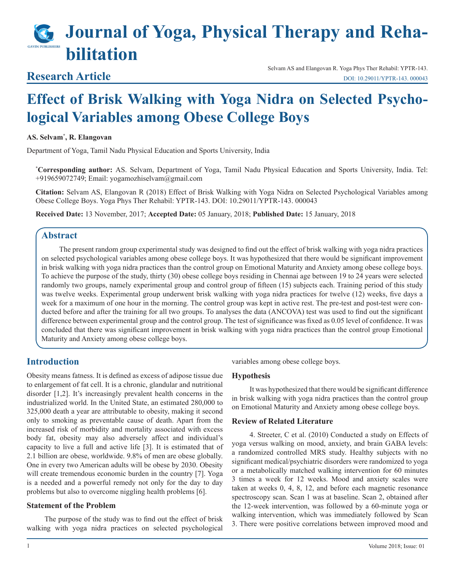# **Journal of Yoga, Physical Therapy and Rehabilitation**

# **Research Article**

Selvam AS and Elangovan R. Yoga Phys Ther Rehabil: YPTR-143. [DOI: 10.29011/YPTR-143. 000043](http://doi.org/10.29011/YPTR-143. 000043)

# **Effect of Brisk Walking with Yoga Nidra on Selected Psychological Variables among Obese College Boys**

#### **AS. Selvam\* , R. Elangovan**

Department of Yoga, Tamil Nadu Physical Education and Sports University, India

**\* Corresponding author:** AS. Selvam, Department of Yoga, Tamil Nadu Physical Education and Sports University, India. Tel: +919659072749; Email: yogamozhiselvam@gmail.com

**Citation:** Selvam AS, Elangovan R (2018) Effect of Brisk Walking with Yoga Nidra on Selected Psychological Variables among Obese College Boys. Yoga Phys Ther Rehabil: YPTR-143. DOI: 10.29011/YPTR-143. 000043

**Received Date:** 13 November, 2017; **Accepted Date:** 05 January, 2018; **Published Date:** 15 January, 2018

# **Abstract**

The present random group experimental study was designed to find out the effect of brisk walking with yoga nidra practices on selected psychological variables among obese college boys. It was hypothesized that there would be significant improvement in brisk walking with yoga nidra practices than the control group on Emotional Maturity and Anxiety among obese college boys. To achieve the purpose of the study, thirty (30) obese college boys residing in Chennai age between 19 to 24 years were selected randomly two groups, namely experimental group and control group of fifteen (15) subjects each. Training period of this study was twelve weeks. Experimental group underwent brisk walking with yoga nidra practices for twelve (12) weeks, five days a week for a maximum of one hour in the morning. The control group was kept in active rest. The pre-test and post-test were conducted before and after the training for all two groups. To analyses the data (ANCOVA) test was used to find out the significant difference between experimental group and the control group. The test of significance was fixed as 0.05 level of confidence. It was concluded that there was significant improvement in brisk walking with yoga nidra practices than the control group Emotional Maturity and Anxiety among obese college boys.

# **Introduction**

Obesity means fatness. It is defined as excess of adipose tissue due to enlargement of fat cell. It is a chronic, glandular and nutritional disorder [1,2]. It's increasingly prevalent health concerns in the industrialized world. In the United State, an estimated 280,000 to 325,000 death a year are attributable to obesity, making it second only to smoking as preventable cause of death. Apart from the increased risk of morbidity and mortality associated with excess body fat, obesity may also adversely affect and individual's capacity to live a full and active life [3]. It is estimated that of 2.1 billion are obese, worldwide. 9.8% of men are obese globally. One in every two American adults will be obese by 2030. Obesity will create tremendous economic burden in the country [7]. Yoga is a needed and a powerful remedy not only for the day to day problems but also to overcome niggling health problems [6].

#### **Statement of the Problem**

The purpose of the study was to find out the effect of brisk walking with yoga nidra practices on selected psychological variables among obese college boys.

#### **Hypothesis**

It was hypothesized that there would be significant difference in brisk walking with yoga nidra practices than the control group on Emotional Maturity and Anxiety among obese college boys.

#### **Review of Related Literature**

4. Streeter, C et al. (2010) Conducted a study on Effects of yoga versus walking on mood, anxiety, and brain GABA levels: a randomized controlled MRS study. Healthy subjects with no significant medical/psychiatric disorders were randomized to yoga or a metabolically matched walking intervention for 60 minutes 3 times a week for 12 weeks. Mood and anxiety scales were taken at weeks 0, 4, 8, 12, and before each magnetic resonance spectroscopy scan. Scan 1 was at baseline. Scan 2, obtained after the 12-week intervention, was followed by a 60-minute yoga or walking intervention, which was immediately followed by Scan 3. There were positive correlations between improved mood and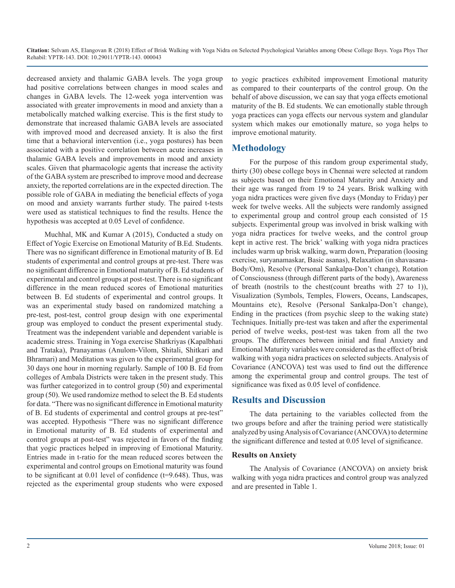**Citation:** Selvam AS, Elangovan R (2018) Effect of Brisk Walking with Yoga Nidra on Selected Psychological Variables among Obese College Boys. Yoga Phys Ther Rehabil: YPTR-143. DOI: 10.29011/YPTR-143. 000043

decreased anxiety and thalamic GABA levels. The yoga group had positive correlations between changes in mood scales and changes in GABA levels. The 12-week yoga intervention was associated with greater improvements in mood and anxiety than a metabolically matched walking exercise. This is the first study to demonstrate that increased thalamic GABA levels are associated with improved mood and decreased anxiety. It is also the first time that a behavioral intervention (i.e., yoga postures) has been associated with a positive correlation between acute increases in thalamic GABA levels and improvements in mood and anxiety scales. Given that pharmacologic agents that increase the activity of the GABA system are prescribed to improve mood and decrease anxiety, the reported correlations are in the expected direction. The possible role of GABA in mediating the beneficial effects of yoga on mood and anxiety warrants further study. The paired t-tests were used as statistical techniques to find the results. Hence the hypothesis was accepted at 0.05 Level of confidence.

Muchhal, MK and Kumar A (2015), Conducted a study on Effect of Yogic Exercise on Emotional Maturity of B.Ed. Students. There was no significant difference in Emotional maturity of B. Ed students of experimental and control groups at pre-test. There was no significant difference in Emotional maturity of B. Ed students of experimental and control groups at post-test. There is no significant difference in the mean reduced scores of Emotional maturities between B. Ed students of experimental and control groups. It was an experimental study based on randomized matching a pre-test, post-test, control group design with one experimental group was employed to conduct the present experimental study. Treatment was the independent variable and dependent variable is academic stress. Training in Yoga exercise Shatkriyas (Kapalbhati and Trataka), Pranayamas (Anulom-Vilom, Shitali, Shitkari and Bhramari) and Meditation was given to the experimental group for 30 days one hour in morning regularly. Sample of 100 B. Ed from colleges of Ambala Districts were taken in the present study. This was further categorized in to control group (50) and experimental group (50). We used randomize method to select the B. Ed students for data. "There was no significant difference in Emotional maturity of B. Ed students of experimental and control groups at pre-test" was accepted. Hypothesis "There was no significant difference in Emotional maturity of B. Ed students of experimental and control groups at post-test" was rejected in favors of the finding that yogic practices helped in improving of Emotional Maturity. Entries made in t-ratio for the mean reduced scores between the experimental and control groups on Emotional maturity was found to be significant at  $0.01$  level of confidence ( $t=9.648$ ). Thus, was rejected as the experimental group students who were exposed

to yogic practices exhibited improvement Emotional maturity as compared to their counterparts of the control group. On the behalf of above discussion, we can say that yoga effects emotional maturity of the B. Ed students. We can emotionally stable through yoga practices can yoga effects our nervous system and glandular system which makes our emotionally mature, so yoga helps to improve emotional maturity.

## **Methodology**

For the purpose of this random group experimental study, thirty (30) obese college boys in Chennai were selected at random as subjects based on their Emotional Maturity and Anxiety and their age was ranged from 19 to 24 years. Brisk walking with yoga nidra practices were given five days (Monday to Friday) per week for twelve weeks. All the subjects were randomly assigned to experimental group and control group each consisted of 15 subjects. Experimental group was involved in brisk walking with yoga nidra practices for twelve weeks, and the control group kept in active rest. The brick' walking with yoga nidra practices includes warm up brisk walking, warm down, Preparation (loosing exercise, suryanamaskar, Basic asanas), Relaxation (in shavasana-Body/Om), Resolve (Personal Sankalpa-Don't change), Rotation of Consciousness (through different parts of the body), Awareness of breath (nostrils to the chest(count breaths with 27 to 1)), Visualization (Symbols, Temples, Flowers, Oceans, Landscapes, Mountains etc), Resolve (Personal Sankalpa-Don't change), Ending in the practices (from psychic sleep to the waking state) Techniques. Initially pre-test was taken and after the experimental period of twelve weeks, post-test was taken from all the two groups. The differences between initial and final Anxiety and Emotional Maturity variables were considered as the effect of brisk walking with yoga nidra practices on selected subjects. Analysis of Covariance (ANCOVA) test was used to find out the difference among the experimental group and control groups. The test of significance was fixed as 0.05 level of confidence.

### **Results and Discussion**

The data pertaining to the variables collected from the two groups before and after the training period were statistically analyzed by using Analysis of Covariance (ANCOVA) to determine the significant difference and tested at 0.05 level of significance.

#### **Results on Anxiety**

The Analysis of Covariance (ANCOVA) on anxiety brisk walking with yoga nidra practices and control group was analyzed and are presented in Table 1.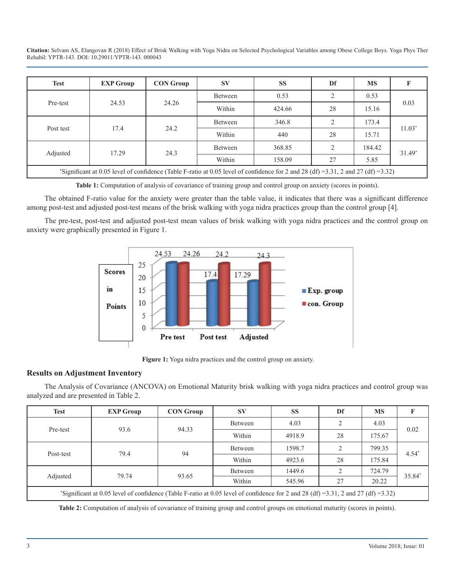**Citation:** Selvam AS, Elangovan R (2018) Effect of Brisk Walking with Yoga Nidra on Selected Psychological Variables among Obese College Boys. Yoga Phys Ther Rehabil: YPTR-143. DOI: 10.29011/YPTR-143. 000043

| <b>Test</b>                                                                                                                       | <b>EXP Group</b> | <b>CON Group</b> | <b>SV</b> | <b>SS</b> | Df        | <b>MS</b> |          |  |  |  |
|-----------------------------------------------------------------------------------------------------------------------------------|------------------|------------------|-----------|-----------|-----------|-----------|----------|--|--|--|
| Pre-test                                                                                                                          | 24.53            | 24.26            | Between   | 0.53      |           | 0.53      | 0.03     |  |  |  |
|                                                                                                                                   |                  |                  | Within    | 424.66    | 28        | 15.16     |          |  |  |  |
| Post test                                                                                                                         | 17.4             | 24.2             | Between   | 346.8     | $\bigcap$ | 173.4     | $11.03*$ |  |  |  |
|                                                                                                                                   |                  |                  | Within    | 440       | 28        | 15.71     |          |  |  |  |
| Adjusted                                                                                                                          | 17.29            | 24.3             | Between   | 368.85    | $\bigcap$ | 184.42    | $31.49*$ |  |  |  |
|                                                                                                                                   |                  |                  | Within    | 158.09    | 27        | 5.85      |          |  |  |  |
| "Significant at 0.05 level of confidence (Table F-ratio at 0.05 level of confidence for 2 and 28 (df) =3.31, 2 and 27 (df) =3.32) |                  |                  |           |           |           |           |          |  |  |  |

**Table 1:** Computation of analysis of covariance of training group and control group on anxiety (scores in points).

The obtained F-ratio value for the anxiety were greater than the table value, it indicates that there was a significant difference among post-test and adjusted post-test means of the brisk walking with yoga nidra practices group than the control group [4].

The pre-test, post-test and adjusted post-test mean values of brisk walking with yoga nidra practices and the control group on anxiety were graphically presented in Figure 1.



**Figure 1:** Yoga nidra practices and the control group on anxiety.

#### **Results on Adjustment Inventory**

The Analysis of Covariance (ANCOVA) on Emotional Maturity brisk walking with yoga nidra practices and control group was analyzed and are presented in Table 2.

| <b>Test</b>                                                                                                                       | <b>EXP Group</b> | <b>CON Group</b> | <b>SV</b> | <b>SS</b> | Df | MS     |         |  |  |  |
|-----------------------------------------------------------------------------------------------------------------------------------|------------------|------------------|-----------|-----------|----|--------|---------|--|--|--|
| Pre-test                                                                                                                          | 93.6             | 94.33            | Between   | 4.03      |    | 4.03   | 0.02    |  |  |  |
|                                                                                                                                   |                  |                  | Within    | 4918.9    | 28 | 175.67 |         |  |  |  |
| Post-test                                                                                                                         | 79.4             | 94               | Between   | 1598.7    | ↑  | 799.35 | $4.54*$ |  |  |  |
|                                                                                                                                   |                  |                  | Within    | 4923.6    | 28 | 175.84 |         |  |  |  |
| Adjusted                                                                                                                          | 79.74            | 93.65            | Between   | 1449.6    |    | 724.79 | 35.84*  |  |  |  |
|                                                                                                                                   |                  |                  | Within    | 545.96    | 27 | 20.22  |         |  |  |  |
| "Significant at 0.05 level of confidence (Table F-ratio at 0.05 level of confidence for 2 and 28 (df) =3.31, 2 and 27 (df) =3.32) |                  |                  |           |           |    |        |         |  |  |  |

**Table 2:** Computation of analysis of covariance of training group and control groups on emotional maturity (scores in points).